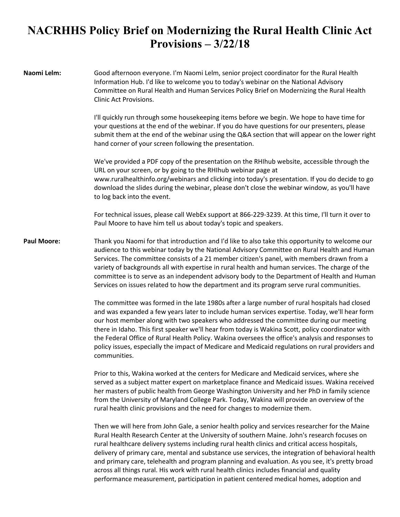## **NACRHHS Policy Brief on Modernizing the Rural Health Clinic Act Provisions – 3/22/18**

**Naomi Lelm:** Good afternoon everyone. I'm Naomi Lelm, senior project coordinator for the Rural Health Information Hub. I'd like to welcome you to today's webinar on the National Advisory Committee on Rural Health and Human Services Policy Brief on Modernizing the Rural Health Clinic Act Provisions.

> I'll quickly run through some housekeeping items before we begin. We hope to have time for your questions at the end of the webinar. If you do have questions for our presenters, please submit them at the end of the webinar using the Q&A section that will appear on the lower right hand corner of your screen following the presentation.

> We've provided a PDF copy of the presentation on the RHIhub website, accessible through the URL on your screen, or by going to the RHIhub webinar page at www.ruralhealthinfo.org/webinars and clicking into today's presentation. If you do decide to go download the slides during the webinar, please don't close the webinar window, as you'll have to log back into the event.

> For technical issues, please call WebEx support at 866-229-3239. At this time, I'll turn it over to Paul Moore to have him tell us about today's topic and speakers.

**Paul Moore:** Thank you Naomi for that introduction and I'd like to also take this opportunity to welcome our audience to this webinar today by the National Advisory Committee on Rural Health and Human Services. The committee consists of a 21 member citizen's panel, with members drawn from a variety of backgrounds all with expertise in rural health and human services. The charge of the committee is to serve as an independent advisory body to the Department of Health and Human Services on issues related to how the department and its program serve rural communities.

> The committee was formed in the late 1980s after a large number of rural hospitals had closed and was expanded a few years later to include human services expertise. Today, we'll hear form our host member along with two speakers who addressed the committee during our meeting there in Idaho. This first speaker we'll hear from today is Wakina Scott, policy coordinator with the Federal Office of Rural Health Policy. Wakina oversees the office's analysis and responses to policy issues, especially the impact of Medicare and Medicaid regulations on rural providers and communities.

> Prior to this, Wakina worked at the centers for Medicare and Medicaid services, where she served as a subject matter expert on marketplace finance and Medicaid issues. Wakina received her masters of public health from George Washington University and her PhD in family science from the University of Maryland College Park. Today, Wakina will provide an overview of the rural health clinic provisions and the need for changes to modernize them.

> Then we will here from John Gale, a senior health policy and services researcher for the Maine Rural Health Research Center at the University of southern Maine. John's research focuses on rural healthcare delivery systems including rural health clinics and critical access hospitals, delivery of primary care, mental and substance use services, the integration of behavioral health and primary care, telehealth and program planning and evaluation. As you see, it's pretty broad across all things rural. His work with rural health clinics includes financial and quality performance measurement, participation in patient centered medical homes, adoption and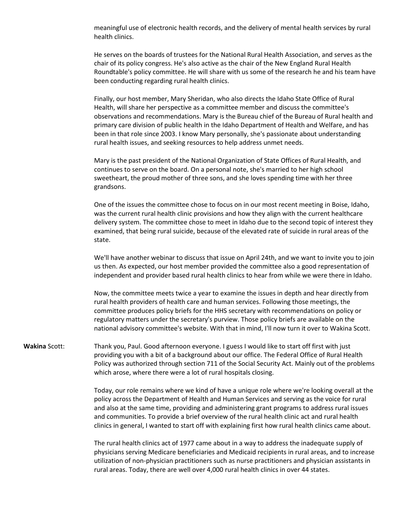meaningful use of electronic health records, and the delivery of mental health services by rural health clinics.

He serves on the boards of trustees for the National Rural Health Association, and serves as the chair of its policy congress. He's also active as the chair of the New England Rural Health Roundtable's policy committee. He will share with us some of the research he and his team have been conducting regarding rural health clinics.

Finally, our host member, Mary Sheridan, who also directs the Idaho State Office of Rural Health, will share her perspective as a committee member and discuss the committee's observations and recommendations. Mary is the Bureau chief of the Bureau of Rural health and primary care division of public health in the Idaho Department of Health and Welfare, and has been in that role since 2003. I know Mary personally, she's passionate about understanding rural health issues, and seeking resources to help address unmet needs.

Mary is the past president of the National Organization of State Offices of Rural Health, and continues to serve on the board. On a personal note, she's married to her high school sweetheart, the proud mother of three sons, and she loves spending time with her three grandsons.

One of the issues the committee chose to focus on in our most recent meeting in Boise, Idaho, was the current rural health clinic provisions and how they align with the current healthcare delivery system. The committee chose to meet in Idaho due to the second topic of interest they examined, that being rural suicide, because of the elevated rate of suicide in rural areas of the state.

We'll have another webinar to discuss that issue on April 24th, and we want to invite you to join us then. As expected, our host member provided the committee also a good representation of independent and provider based rural health clinics to hear from while we were there in Idaho.

Now, the committee meets twice a year to examine the issues in depth and hear directly from rural health providers of health care and human services. Following those meetings, the committee produces policy briefs for the HHS secretary with recommendations on policy or regulatory matters under the secretary's purview. Those policy briefs are available on the national advisory committee's website. With that in mind, I'll now turn it over to Wakina Scott.

**Wakina** Scott: Thank you, Paul. Good afternoon everyone. I guess I would like to start off first with just providing you with a bit of a background about our office. The Federal Office of Rural Health Policy was authorized through section 711 of the Social Security Act. Mainly out of the problems which arose, where there were a lot of rural hospitals closing.

> Today, our role remains where we kind of have a unique role where we're looking overall at the policy across the Department of Health and Human Services and serving as the voice for rural and also at the same time, providing and administering grant programs to address rural issues and communities. To provide a brief overview of the rural health clinic act and rural health clinics in general, I wanted to start off with explaining first how rural health clinics came about.

> The rural health clinics act of 1977 came about in a way to address the inadequate supply of physicians serving Medicare beneficiaries and Medicaid recipients in rural areas, and to increase utilization of non-physician practitioners such as nurse practitioners and physician assistants in rural areas. Today, there are well over 4,000 rural health clinics in over 44 states.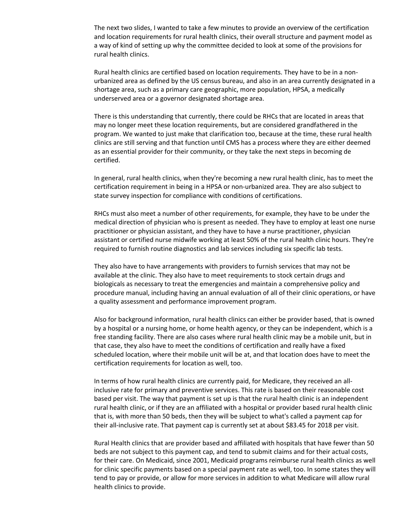The next two slides, I wanted to take a few minutes to provide an overview of the certification and location requirements for rural health clinics, their overall structure and payment model as a way of kind of setting up why the committee decided to look at some of the provisions for rural health clinics.

Rural health clinics are certified based on location requirements. They have to be in a nonurbanized area as defined by the US census bureau, and also in an area currently designated in a shortage area, such as a primary care geographic, more population, HPSA, a medically underserved area or a governor designated shortage area.

There is this understanding that currently, there could be RHCs that are located in areas that may no longer meet these location requirements, but are considered grandfathered in the program. We wanted to just make that clarification too, because at the time, these rural health clinics are still serving and that function until CMS has a process where they are either deemed as an essential provider for their community, or they take the next steps in becoming de certified.

In general, rural health clinics, when they're becoming a new rural health clinic, has to meet the certification requirement in being in a HPSA or non-urbanized area. They are also subject to state survey inspection for compliance with conditions of certifications.

RHCs must also meet a number of other requirements, for example, they have to be under the medical direction of physician who is present as needed. They have to employ at least one nurse practitioner or physician assistant, and they have to have a nurse practitioner, physician assistant or certified nurse midwife working at least 50% of the rural health clinic hours. They're required to furnish routine diagnostics and lab services including six specific lab tests.

They also have to have arrangements with providers to furnish services that may not be available at the clinic. They also have to meet requirements to stock certain drugs and biologicals as necessary to treat the emergencies and maintain a comprehensive policy and procedure manual, including having an annual evaluation of all of their clinic operations, or have a quality assessment and performance improvement program.

Also for background information, rural health clinics can either be provider based, that is owned by a hospital or a nursing home, or home health agency, or they can be independent, which is a free standing facility. There are also cases where rural health clinic may be a mobile unit, but in that case, they also have to meet the conditions of certification and really have a fixed scheduled location, where their mobile unit will be at, and that location does have to meet the certification requirements for location as well, too.

In terms of how rural health clinics are currently paid, for Medicare, they received an allinclusive rate for primary and preventive services. This rate is based on their reasonable cost based per visit. The way that payment is set up is that the rural health clinic is an independent rural health clinic, or if they are an affiliated with a hospital or provider based rural health clinic that is, with more than 50 beds, then they will be subject to what's called a payment cap for their all-inclusive rate. That payment cap is currently set at about \$83.45 for 2018 per visit.

Rural Health clinics that are provider based and affiliated with hospitals that have fewer than 50 beds are not subject to this payment cap, and tend to submit claims and for their actual costs, for their care. On Medicaid, since 2001, Medicaid programs reimburse rural health clinics as well for clinic specific payments based on a special payment rate as well, too. In some states they will tend to pay or provide, or allow for more services in addition to what Medicare will allow rural health clinics to provide.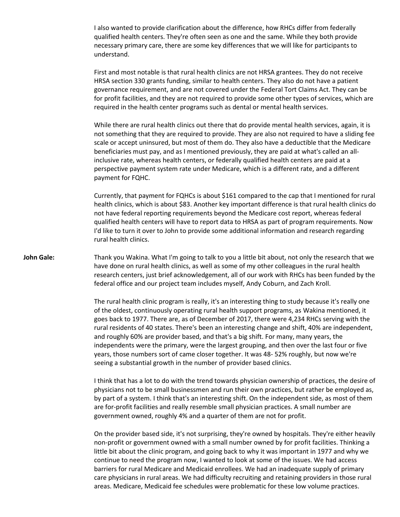I also wanted to provide clarification about the difference, how RHCs differ from federally qualified health centers. They're often seen as one and the same. While they both provide necessary primary care, there are some key differences that we will like for participants to understand.

First and most notable is that rural health clinics are not HRSA grantees. They do not receive HRSA section 330 grants funding, similar to health centers. They also do not have a patient governance requirement, and are not covered under the Federal Tort Claims Act. They can be for profit facilities, and they are not required to provide some other types of services, which are required in the health center programs such as dental or mental health services.

While there are rural health clinics out there that do provide mental health services, again, it is not something that they are required to provide. They are also not required to have a sliding fee scale or accept uninsured, but most of them do. They also have a deductible that the Medicare beneficiaries must pay, and as I mentioned previously, they are paid at what's called an allinclusive rate, whereas health centers, or federally qualified health centers are paid at a perspective payment system rate under Medicare, which is a different rate, and a different payment for FQHC.

Currently, that payment for FQHCs is about \$161 compared to the cap that I mentioned for rural health clinics, which is about \$83. Another key important difference is that rural health clinics do not have federal reporting requirements beyond the Medicare cost report, whereas federal qualified health centers will have to report data to HRSA as part of program requirements. Now I'd like to turn it over to John to provide some additional information and research regarding rural health clinics.

## John Gale: Thank you Wakina. What I'm going to talk to you a little bit about, not only the research that we have done on rural health clinics, as well as some of my other colleagues in the rural health research centers, just brief acknowledgement, all of our work with RHCs has been funded by the federal office and our project team includes myself, Andy Coburn, and Zach Kroll.

The rural health clinic program is really, it's an interesting thing to study because it's really one of the oldest, continuously operating rural health support programs, as Wakina mentioned, it goes back to 1977. There are, as of December of 2017, there were 4,234 RHCs serving with the rural residents of 40 states. There's been an interesting change and shift, 40% are independent, and roughly 60% are provider based, and that's a big shift. For many, many years, the independents were the primary, were the largest grouping, and then over the last four or five years, those numbers sort of came closer together. It was 48- 52% roughly, but now we're seeing a substantial growth in the number of provider based clinics.

I think that has a lot to do with the trend towards physician ownership of practices, the desire of physicians not to be small businessmen and run their own practices, but rather be employed as, by part of a system. I think that's an interesting shift. On the independent side, as most of them are for-profit facilities and really resemble small physician practices. A small number are government owned, roughly 4% and a quarter of them are not for profit.

On the provider based side, it's not surprising, they're owned by hospitals. They're either heavily non-profit or government owned with a small number owned by for profit facilities. Thinking a little bit about the clinic program, and going back to why it was important in 1977 and why we continue to need the program now, I wanted to look at some of the issues. We had access barriers for rural Medicare and Medicaid enrollees. We had an inadequate supply of primary care physicians in rural areas. We had difficulty recruiting and retaining providers in those rural areas. Medicare, Medicaid fee schedules were problematic for these low volume practices.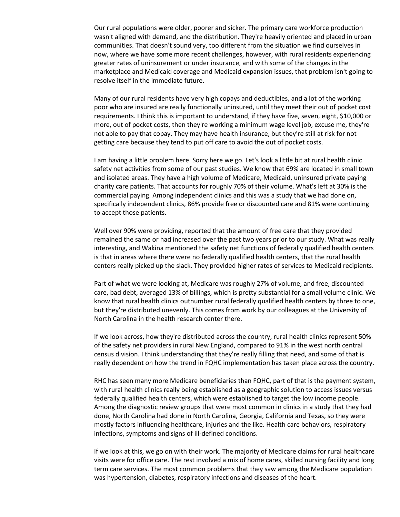Our rural populations were older, poorer and sicker. The primary care workforce production wasn't aligned with demand, and the distribution. They're heavily oriented and placed in urban communities. That doesn't sound very, too different from the situation we find ourselves in now, where we have some more recent challenges, however, with rural residents experiencing greater rates of uninsurement or under insurance, and with some of the changes in the marketplace and Medicaid coverage and Medicaid expansion issues, that problem isn't going to resolve itself in the immediate future.

Many of our rural residents have very high copays and deductibles, and a lot of the working poor who are insured are really functionally uninsured, until they meet their out of pocket cost requirements. I think this is important to understand, if they have five, seven, eight, \$10,000 or more, out of pocket costs, then they're working a minimum wage level job, excuse me, they're not able to pay that copay. They may have health insurance, but they're still at risk for not getting care because they tend to put off care to avoid the out of pocket costs.

I am having a little problem here. Sorry here we go. Let's look a little bit at rural health clinic safety net activities from some of our past studies. We know that 69% are located in small town and isolated areas. They have a high volume of Medicare, Medicaid, uninsured private paying charity care patients. That accounts for roughly 70% of their volume. What's left at 30% is the commercial paying. Among independent clinics and this was a study that we had done on, specifically independent clinics, 86% provide free or discounted care and 81% were continuing to accept those patients.

Well over 90% were providing, reported that the amount of free care that they provided remained the same or had increased over the past two years prior to our study. What was really interesting, and Wakina mentioned the safety net functions of federally qualified health centers is that in areas where there were no federally qualified health centers, that the rural health centers really picked up the slack. They provided higher rates of services to Medicaid recipients.

Part of what we were looking at, Medicare was roughly 27% of volume, and free, discounted care, bad debt, averaged 13% of billings, which is pretty substantial for a small volume clinic. We know that rural health clinics outnumber rural federally qualified health centers by three to one, but they're distributed unevenly. This comes from work by our colleagues at the University of North Carolina in the health research center there.

If we look across, how they're distributed across the country, rural health clinics represent 50% of the safety net providers in rural New England, compared to 91% in the west north central census division. I think understanding that they're really filling that need, and some of that is really dependent on how the trend in FQHC implementation has taken place across the country.

RHC has seen many more Medicare beneficiaries than FQHC, part of that is the payment system, with rural health clinics really being established as a geographic solution to access issues versus federally qualified health centers, which were established to target the low income people. Among the diagnostic review groups that were most common in clinics in a study that they had done, North Carolina had done in North Carolina, Georgia, California and Texas, so they were mostly factors influencing healthcare, injuries and the like. Health care behaviors, respiratory infections, symptoms and signs of ill-defined conditions.

If we look at this, we go on with their work. The majority of Medicare claims for rural healthcare visits were for office care. The rest involved a mix of home cares, skilled nursing facility and long term care services. The most common problems that they saw among the Medicare population was hypertension, diabetes, respiratory infections and diseases of the heart.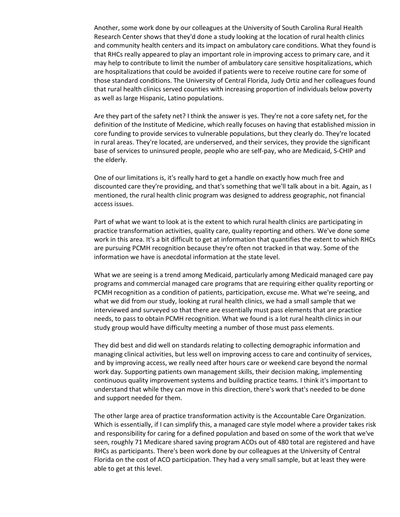Another, some work done by our colleagues at the University of South Carolina Rural Health Research Center shows that they'd done a study looking at the location of rural health clinics and community health centers and its impact on ambulatory care conditions. What they found is that RHCs really appeared to play an important role in improving access to primary care, and it may help to contribute to limit the number of ambulatory care sensitive hospitalizations, which are hospitalizations that could be avoided if patients were to receive routine care for some of those standard conditions. The University of Central Florida, Judy Ortiz and her colleagues found that rural health clinics served counties with increasing proportion of individuals below poverty as well as large Hispanic, Latino populations.

Are they part of the safety net? I think the answer is yes. They're not a core safety net, for the definition of the Institute of Medicine, which really focuses on having that established mission in core funding to provide services to vulnerable populations, but they clearly do. They're located in rural areas. They're located, are underserved, and their services, they provide the significant base of services to uninsured people, people who are self-pay, who are Medicaid, S-CHIP and the elderly.

One of our limitations is, it's really hard to get a handle on exactly how much free and discounted care they're providing, and that's something that we'll talk about in a bit. Again, as I mentioned, the rural health clinic program was designed to address geographic, not financial access issues.

Part of what we want to look at is the extent to which rural health clinics are participating in practice transformation activities, quality care, quality reporting and others. We've done some work in this area. It's a bit difficult to get at information that quantifies the extent to which RHCs are pursuing PCMH recognition because they're often not tracked in that way. Some of the information we have is anecdotal information at the state level.

What we are seeing is a trend among Medicaid, particularly among Medicaid managed care pay programs and commercial managed care programs that are requiring either quality reporting or PCMH recognition as a condition of patients, participation, excuse me. What we're seeing, and what we did from our study, looking at rural health clinics, we had a small sample that we interviewed and surveyed so that there are essentially must pass elements that are practice needs, to pass to obtain PCMH recognition. What we found is a lot rural health clinics in our study group would have difficulty meeting a number of those must pass elements.

They did best and did well on standards relating to collecting demographic information and managing clinical activities, but less well on improving access to care and continuity of services, and by improving access, we really need after hours care or weekend care beyond the normal work day. Supporting patients own management skills, their decision making, implementing continuous quality improvement systems and building practice teams. I think it's important to understand that while they can move in this direction, there's work that's needed to be done and support needed for them.

The other large area of practice transformation activity is the Accountable Care Organization. Which is essentially, if I can simplify this, a managed care style model where a provider takes risk and responsibility for caring for a defined population and based on some of the work that we've seen, roughly 71 Medicare shared saving program ACOs out of 480 total are registered and have RHCs as participants. There's been work done by our colleagues at the University of Central Florida on the cost of ACO participation. They had a very small sample, but at least they were able to get at this level.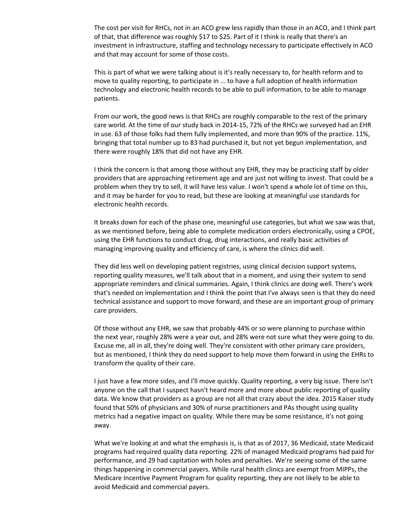The cost per visit for RHCs, not in an ACO grew less rapidly than those in an ACO, and I think part of that, that difference was roughly \$17 to \$25. Part of it I think is really that there's an investment in infrastructure, staffing and technology necessary to participate effectively in ACO and that may account for some of those costs.

This is part of what we were talking about is it's really necessary to, for health reform and to move to quality reporting, to participate in ... to have a full adoption of health information technology and electronic health records to be able to pull information, to be able to manage patients.

From our work, the good news is that RHCs are roughly comparable to the rest of the primary care world. At the time of our study back in 2014-15, 72% of the RHCs we surveyed had an EHR in use. 63 of those folks had them fully implemented, and more than 90% of the practice. 11%, bringing that total number up to 83 had purchased it, but not yet begun implementation, and there were roughly 18% that did not have any EHR.

I think the concern is that among those without any EHR, they may be practicing staff by older providers that are approaching retirement age and are just not willing to invest. That could be a problem when they try to sell, it will have less value. I won't spend a whole lot of time on this, and it may be harder for you to read, but these are looking at meaningful use standards for electronic health records.

It breaks down for each of the phase one, meaningful use categories, but what we saw was that, as we mentioned before, being able to complete medication orders electronically, using a CPOE, using the EHR functions to conduct drug, drug interactions, and really basic activities of managing improving quality and efficiency of care, is where the clinics did well.

They did less well on developing patient registries, using clinical decision support systems, reporting quality measures, we'll talk about that in a moment, and using their system to send appropriate reminders and clinical summaries. Again, I think clinics are doing well. There's work that's needed on implementation and I think the point that I've always seen is that they do need technical assistance and support to move forward, and these are an important group of primary care providers.

Of those without any EHR, we saw that probably 44% or so were planning to purchase within the next year, roughly 28% were a year out, and 28% were not sure what they were going to do. Excuse me, all in all, they're doing well. They're consistent with other primary care providers, but as mentioned, I think they do need support to help move them forward in using the EHRs to transform the quality of their care.

I just have a few more sides, and I'll move quickly. Quality reporting, a very big issue. There isn't anyone on the call that I suspect hasn't heard more and more about public reporting of quality data. We know that providers as a group are not all that crazy about the idea. 2015 Kaiser study found that 50% of physicians and 30% of nurse practitioners and PAs thought using quality metrics had a negative impact on quality. While there may be some resistance, it's not going away.

What we're looking at and what the emphasis is, is that as of 2017, 36 Medicaid, state Medicaid programs had required quality data reporting. 22% of managed Medicaid programs had paid for performance, and 29 had capitation with holes and penalties. We're seeing some of the same things happening in commercial payers. While rural health clinics are exempt from MIPPs, the Medicare Incentive Payment Program for quality reporting, they are not likely to be able to avoid Medicaid and commercial payers.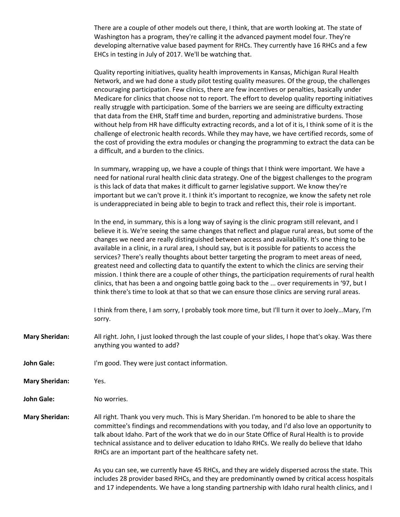There are a couple of other models out there, I think, that are worth looking at. The state of Washington has a program, they're calling it the advanced payment model four. They're developing alternative value based payment for RHCs. They currently have 16 RHCs and a few EHCs in testing in July of 2017. We'll be watching that.

Quality reporting initiatives, quality health improvements in Kansas, Michigan Rural Health Network, and we had done a study pilot testing quality measures. Of the group, the challenges encouraging participation. Few clinics, there are few incentives or penalties, basically under Medicare for clinics that choose not to report. The effort to develop quality reporting initiatives really struggle with participation. Some of the barriers we are seeing are difficulty extracting that data from the EHR, Staff time and burden, reporting and administrative burdens. Those without help from HR have difficulty extracting records, and a lot of it is, I think some of it is the challenge of electronic health records. While they may have, we have certified records, some of the cost of providing the extra modules or changing the programming to extract the data can be a difficult, and a burden to the clinics.

In summary, wrapping up, we have a couple of things that I think were important. We have a need for national rural health clinic data strategy. One of the biggest challenges to the program is this lack of data that makes it difficult to garner legislative support. We know they're important but we can't prove it. I think it's important to recognize, we know the safety net role is underappreciated in being able to begin to track and reflect this, their role is important.

In the end, in summary, this is a long way of saying is the clinic program still relevant, and I believe it is. We're seeing the same changes that reflect and plague rural areas, but some of the changes we need are really distinguished between access and availability. It's one thing to be available in a clinic, in a rural area, I should say, but is it possible for patients to access the services? There's really thoughts about better targeting the program to meet areas of need, greatest need and collecting data to quantify the extent to which the clinics are serving their mission. I think there are a couple of other things, the participation requirements of rural health clinics, that has been a and ongoing battle going back to the ... over requirements in '97, but I think there's time to look at that so that we can ensure those clinics are serving rural areas.

I think from there, I am sorry, I probably took more time, but I'll turn it over to Joely…Mary, I'm sorry.

**Mary Sheridan:** All right. John, I just looked through the last couple of your slides, I hope that's okay. Was there anything you wanted to add?

- **John Gale:** I'm good. They were just contact information.
- **Mary Sheridan:** Yes.

**John Gale:** No worries.

**Mary Sheridan:** All right. Thank you very much. This is Mary Sheridan. I'm honored to be able to share the committee's findings and recommendations with you today, and I'd also love an opportunity to talk about Idaho. Part of the work that we do in our State Office of Rural Health is to provide technical assistance and to deliver education to Idaho RHCs. We really do believe that Idaho RHCs are an important part of the healthcare safety net.

> As you can see, we currently have 45 RHCs, and they are widely dispersed across the state. This includes 28 provider based RHCs, and they are predominantly owned by critical access hospitals and 17 independents. We have a long standing partnership with Idaho rural health clinics, and I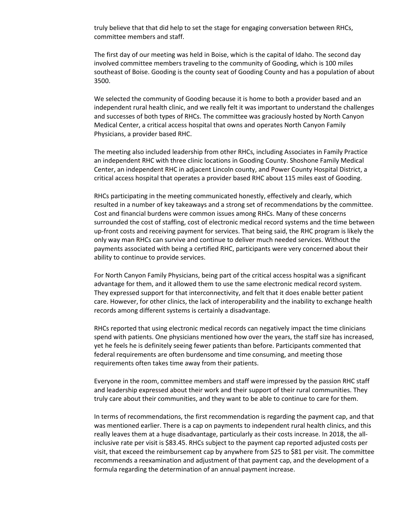truly believe that that did help to set the stage for engaging conversation between RHCs, committee members and staff.

The first day of our meeting was held in Boise, which is the capital of Idaho. The second day involved committee members traveling to the community of Gooding, which is 100 miles southeast of Boise. Gooding is the county seat of Gooding County and has a population of about 3500.

We selected the community of Gooding because it is home to both a provider based and an independent rural health clinic, and we really felt it was important to understand the challenges and successes of both types of RHCs. The committee was graciously hosted by North Canyon Medical Center, a critical access hospital that owns and operates North Canyon Family Physicians, a provider based RHC.

The meeting also included leadership from other RHCs, including Associates in Family Practice an independent RHC with three clinic locations in Gooding County. Shoshone Family Medical Center, an independent RHC in adjacent Lincoln county, and Power County Hospital District, a critical access hospital that operates a provider based RHC about 115 miles east of Gooding.

RHCs participating in the meeting communicated honestly, effectively and clearly, which resulted in a number of key takeaways and a strong set of recommendations by the committee. Cost and financial burdens were common issues among RHCs. Many of these concerns surrounded the cost of staffing, cost of electronic medical record systems and the time between up-front costs and receiving payment for services. That being said, the RHC program is likely the only way man RHCs can survive and continue to deliver much needed services. Without the payments associated with being a certified RHC, participants were very concerned about their ability to continue to provide services.

For North Canyon Family Physicians, being part of the critical access hospital was a significant advantage for them, and it allowed them to use the same electronic medical record system. They expressed support for that interconnectivity, and felt that it does enable better patient care. However, for other clinics, the lack of interoperability and the inability to exchange health records among different systems is certainly a disadvantage.

RHCs reported that using electronic medical records can negatively impact the time clinicians spend with patients. One physicians mentioned how over the years, the staff size has increased, yet he feels he is definitely seeing fewer patients than before. Participants commented that federal requirements are often burdensome and time consuming, and meeting those requirements often takes time away from their patients.

Everyone in the room, committee members and staff were impressed by the passion RHC staff and leadership expressed about their work and their support of their rural communities. They truly care about their communities, and they want to be able to continue to care for them.

In terms of recommendations, the first recommendation is regarding the payment cap, and that was mentioned earlier. There is a cap on payments to independent rural health clinics, and this really leaves them at a huge disadvantage, particularly as their costs increase. In 2018, the allinclusive rate per visit is \$83.45. RHCs subject to the payment cap reported adjusted costs per visit, that exceed the reimbursement cap by anywhere from \$25 to \$81 per visit. The committee recommends a reexamination and adjustment of that payment cap, and the development of a formula regarding the determination of an annual payment increase.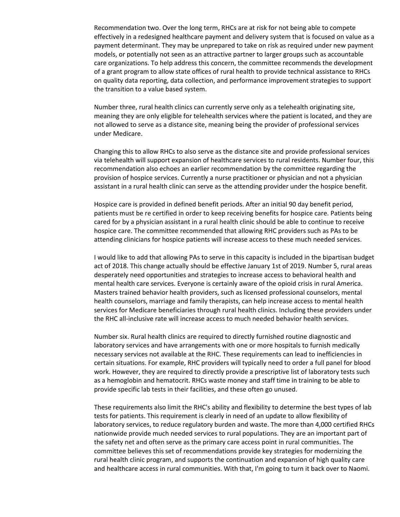Recommendation two. Over the long term, RHCs are at risk for not being able to compete effectively in a redesigned healthcare payment and delivery system that is focused on value as a payment determinant. They may be unprepared to take on risk as required under new payment models, or potentially not seen as an attractive partner to larger groups such as accountable care organizations. To help address this concern, the committee recommends the development of a grant program to allow state offices of rural health to provide technical assistance to RHCs on quality data reporting, data collection, and performance improvement strategies to support the transition to a value based system.

Number three, rural health clinics can currently serve only as a telehealth originating site, meaning they are only eligible for telehealth services where the patient is located, and they are not allowed to serve as a distance site, meaning being the provider of professional services under Medicare.

Changing this to allow RHCs to also serve as the distance site and provide professional services via telehealth will support expansion of healthcare services to rural residents. Number four, this recommendation also echoes an earlier recommendation by the committee regarding the provision of hospice services. Currently a nurse practitioner or physician and not a physician assistant in a rural health clinic can serve as the attending provider under the hospice benefit.

Hospice care is provided in defined benefit periods. After an initial 90 day benefit period, patients must be re certified in order to keep receiving benefits for hospice care. Patients being cared for by a physician assistant in a rural health clinic should be able to continue to receive hospice care. The committee recommended that allowing RHC providers such as PAs to be attending clinicians for hospice patients will increase access to these much needed services.

I would like to add that allowing PAs to serve in this capacity is included in the bipartisan budget act of 2018. This change actually should be effective January 1st of 2019. Number 5, rural areas desperately need opportunities and strategies to increase access to behavioral health and mental health care services. Everyone is certainly aware of the opioid crisis in rural America. Masters trained behavior health providers, such as licensed professional counselors, mental health counselors, marriage and family therapists, can help increase access to mental health services for Medicare beneficiaries through rural health clinics. Including these providers under the RHC all-inclusive rate will increase access to much needed behavior health services.

Number six. Rural health clinics are required to directly furnished routine diagnostic and laboratory services and have arrangements with one or more hospitals to furnish medically necessary services not available at the RHC. These requirements can lead to inefficiencies in certain situations. For example, RHC providers will typically need to order a full panel for blood work. However, they are required to directly provide a prescriptive list of laboratory tests such as a hemoglobin and hematocrit. RHCs waste money and staff time in training to be able to provide specific lab tests in their facilities, and these often go unused.

These requirements also limit the RHC's ability and flexibility to determine the best types of lab tests for patients. This requirement is clearly in need of an update to allow flexibility of laboratory services, to reduce regulatory burden and waste. The more than 4,000 certified RHCs nationwide provide much needed services to rural populations. They are an important part of the safety net and often serve as the primary care access point in rural communities. The committee believes this set of recommendations provide key strategies for modernizing the rural health clinic program, and supports the continuation and expansion of high quality care and healthcare access in rural communities. With that, I'm going to turn it back over to Naomi.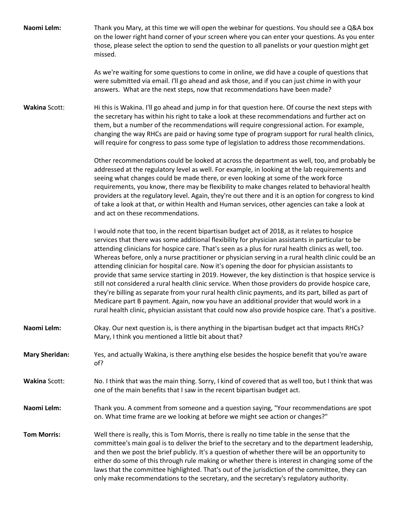| Naomi Lelm:           | Thank you Mary, at this time we will open the webinar for questions. You should see a Q&A box<br>on the lower right hand corner of your screen where you can enter your questions. As you enter<br>those, please select the option to send the question to all panelists or your question might get<br>missed.<br>As we're waiting for some questions to come in online, we did have a couple of questions that<br>were submitted via email. I'll go ahead and ask those, and if you can just chime in with your                                                                                                                                                                                                                                                                                                                                                                                                                                                                                                                       |
|-----------------------|----------------------------------------------------------------------------------------------------------------------------------------------------------------------------------------------------------------------------------------------------------------------------------------------------------------------------------------------------------------------------------------------------------------------------------------------------------------------------------------------------------------------------------------------------------------------------------------------------------------------------------------------------------------------------------------------------------------------------------------------------------------------------------------------------------------------------------------------------------------------------------------------------------------------------------------------------------------------------------------------------------------------------------------|
|                       | answers. What are the next steps, now that recommendations have been made?                                                                                                                                                                                                                                                                                                                                                                                                                                                                                                                                                                                                                                                                                                                                                                                                                                                                                                                                                             |
| <b>Wakina Scott:</b>  | Hi this is Wakina. I'll go ahead and jump in for that question here. Of course the next steps with<br>the secretary has within his right to take a look at these recommendations and further act on<br>them, but a number of the recommendations will require congressional action. For example,<br>changing the way RHCs are paid or having some type of program support for rural health clinics,<br>will require for congress to pass some type of legislation to address those recommendations.                                                                                                                                                                                                                                                                                                                                                                                                                                                                                                                                    |
|                       | Other recommendations could be looked at across the department as well, too, and probably be<br>addressed at the regulatory level as well. For example, in looking at the lab requirements and<br>seeing what changes could be made there, or even looking at some of the work force<br>requirements, you know, there may be flexibility to make changes related to behavioral health<br>providers at the regulatory level. Again, they're out there and it is an option for congress to kind<br>of take a look at that, or within Health and Human services, other agencies can take a look at<br>and act on these recommendations.                                                                                                                                                                                                                                                                                                                                                                                                   |
|                       | I would note that too, in the recent bipartisan budget act of 2018, as it relates to hospice<br>services that there was some additional flexibility for physician assistants in particular to be<br>attending clinicians for hospice care. That's seen as a plus for rural health clinics as well, too.<br>Whereas before, only a nurse practitioner or physician serving in a rural health clinic could be an<br>attending clinician for hospital care. Now it's opening the door for physician assistants to<br>provide that same service starting in 2019. However, the key distinction is that hospice service is<br>still not considered a rural health clinic service. When those providers do provide hospice care,<br>they're billing as separate from your rural health clinic payments, and its part, billed as part of<br>Medicare part B payment. Again, now you have an additional provider that would work in a<br>rural health clinic, physician assistant that could now also provide hospice care. That's a positive. |
| Naomi Lelm:           | Okay. Our next question is, is there anything in the bipartisan budget act that impacts RHCs?<br>Mary, I think you mentioned a little bit about that?                                                                                                                                                                                                                                                                                                                                                                                                                                                                                                                                                                                                                                                                                                                                                                                                                                                                                  |
| <b>Mary Sheridan:</b> | Yes, and actually Wakina, is there anything else besides the hospice benefit that you're aware<br>of?                                                                                                                                                                                                                                                                                                                                                                                                                                                                                                                                                                                                                                                                                                                                                                                                                                                                                                                                  |
| <b>Wakina Scott:</b>  | No. I think that was the main thing. Sorry, I kind of covered that as well too, but I think that was<br>one of the main benefits that I saw in the recent bipartisan budget act.                                                                                                                                                                                                                                                                                                                                                                                                                                                                                                                                                                                                                                                                                                                                                                                                                                                       |
| Naomi Lelm:           | Thank you. A comment from someone and a question saying, "Your recommendations are spot<br>on. What time frame are we looking at before we might see action or changes?"                                                                                                                                                                                                                                                                                                                                                                                                                                                                                                                                                                                                                                                                                                                                                                                                                                                               |
| <b>Tom Morris:</b>    | Well there is really, this is Tom Morris, there is really no time table in the sense that the<br>committee's main goal is to deliver the brief to the secretary and to the department leadership,<br>and then we post the brief publicly. It's a question of whether there will be an opportunity to<br>either do some of this through rule making or whether there is interest in changing some of the<br>laws that the committee highlighted. That's out of the jurisdiction of the committee, they can<br>only make recommendations to the secretary, and the secretary's regulatory authority.                                                                                                                                                                                                                                                                                                                                                                                                                                     |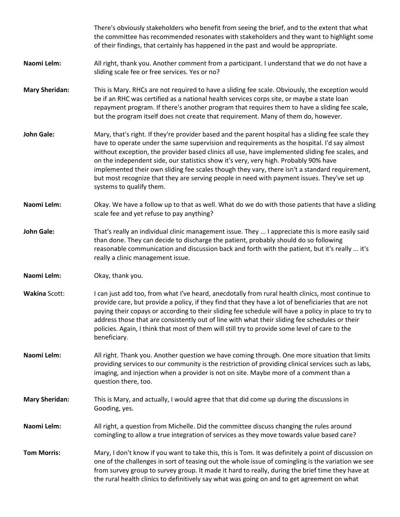|                       | There's obviously stakeholders who benefit from seeing the brief, and to the extent that what<br>the committee has recommended resonates with stakeholders and they want to highlight some<br>of their findings, that certainly has happened in the past and would be appropriate.                                                                                                                                                                                                                                                                                                                                        |
|-----------------------|---------------------------------------------------------------------------------------------------------------------------------------------------------------------------------------------------------------------------------------------------------------------------------------------------------------------------------------------------------------------------------------------------------------------------------------------------------------------------------------------------------------------------------------------------------------------------------------------------------------------------|
| Naomi Lelm:           | All right, thank you. Another comment from a participant. I understand that we do not have a<br>sliding scale fee or free services. Yes or no?                                                                                                                                                                                                                                                                                                                                                                                                                                                                            |
| <b>Mary Sheridan:</b> | This is Mary. RHCs are not required to have a sliding fee scale. Obviously, the exception would<br>be if an RHC was certified as a national health services corps site, or maybe a state loan<br>repayment program. If there's another program that requires them to have a sliding fee scale,<br>but the program itself does not create that requirement. Many of them do, however.                                                                                                                                                                                                                                      |
| <b>John Gale:</b>     | Mary, that's right. If they're provider based and the parent hospital has a sliding fee scale they<br>have to operate under the same supervision and requirements as the hospital. I'd say almost<br>without exception, the provider based clinics all use, have implemented sliding fee scales, and<br>on the independent side, our statistics show it's very, very high. Probably 90% have<br>implemented their own sliding fee scales though they vary, there isn't a standard requirement,<br>but most recognize that they are serving people in need with payment issues. They've set up<br>systems to qualify them. |
| Naomi Lelm:           | Okay. We have a follow up to that as well. What do we do with those patients that have a sliding<br>scale fee and yet refuse to pay anything?                                                                                                                                                                                                                                                                                                                                                                                                                                                                             |
| <b>John Gale:</b>     | That's really an individual clinic management issue. They  I appreciate this is more easily said<br>than done. They can decide to discharge the patient, probably should do so following<br>reasonable communication and discussion back and forth with the patient, but it's really  it's<br>really a clinic management issue.                                                                                                                                                                                                                                                                                           |
| Naomi Lelm:           | Okay, thank you.                                                                                                                                                                                                                                                                                                                                                                                                                                                                                                                                                                                                          |
| <b>Wakina Scott:</b>  | I can just add too, from what I've heard, anecdotally from rural health clinics, most continue to<br>provide care, but provide a policy, if they find that they have a lot of beneficiaries that are not<br>paying their copays or according to their sliding fee schedule will have a policy in place to try to<br>address those that are consistently out of line with what their sliding fee schedules or their<br>policies. Again, I think that most of them will still try to provide some level of care to the<br>beneficiary.                                                                                      |
| Naomi Lelm:           | All right. Thank you. Another question we have coming through. One more situation that limits<br>providing services to our community is the restriction of providing clinical services such as labs,<br>imaging, and injection when a provider is not on site. Maybe more of a comment than a<br>question there, too.                                                                                                                                                                                                                                                                                                     |
| <b>Mary Sheridan:</b> | This is Mary, and actually, I would agree that that did come up during the discussions in<br>Gooding, yes.                                                                                                                                                                                                                                                                                                                                                                                                                                                                                                                |
| Naomi Lelm:           | All right, a question from Michelle. Did the committee discuss changing the rules around<br>comingling to allow a true integration of services as they move towards value based care?                                                                                                                                                                                                                                                                                                                                                                                                                                     |
| <b>Tom Morris:</b>    | Mary, I don't know if you want to take this, this is Tom. It was definitely a point of discussion on<br>one of the challenges in sort of teasing out the whole issue of comingling is the variation we see<br>from survey group to survey group. It made it hard to really, during the brief time they have at<br>the rural health clinics to definitively say what was going on and to get agreement on what                                                                                                                                                                                                             |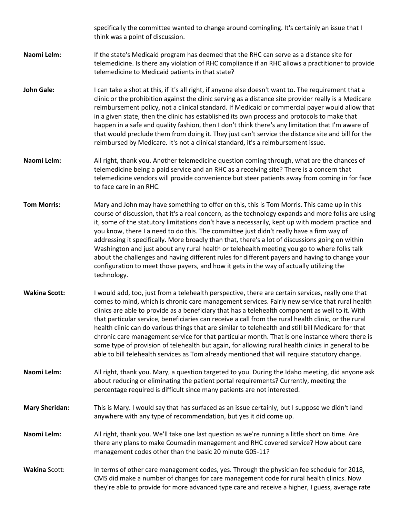specifically the committee wanted to change around comingling. It's certainly an issue that I think was a point of discussion.

- **Naomi Lelm:** If the state's Medicaid program has deemed that the RHC can serve as a distance site for telemedicine. Is there any violation of RHC compliance if an RHC allows a practitioner to provide telemedicine to Medicaid patients in that state?
- **John Gale:** I can take a shot at this, if it's all right, if anyone else doesn't want to. The requirement that a clinic or the prohibition against the clinic serving as a distance site provider really is a Medicare reimbursement policy, not a clinical standard. If Medicaid or commercial payer would allow that in a given state, then the clinic has established its own process and protocols to make that happen in a safe and quality fashion, then I don't think there's any limitation that I'm aware of that would preclude them from doing it. They just can't service the distance site and bill for the reimbursed by Medicare. It's not a clinical standard, it's a reimbursement issue.
- **Naomi Lelm:** All right, thank you. Another telemedicine question coming through, what are the chances of telemedicine being a paid service and an RHC as a receiving site? There is a concern that telemedicine vendors will provide convenience but steer patients away from coming in for face to face care in an RHC.
- **Tom Morris:** Mary and John may have something to offer on this, this is Tom Morris. This came up in this course of discussion, that it's a real concern, as the technology expands and more folks are using it, some of the statutory limitations don't have a necessarily, kept up with modern practice and you know, there I a need to do this. The committee just didn't really have a firm way of addressing it specifically. More broadly than that, there's a lot of discussions going on within Washington and just about any rural health or telehealth meeting you go to where folks talk about the challenges and having different rules for different payers and having to change your configuration to meet those payers, and how it gets in the way of actually utilizing the technology.
- **Wakina Scott:** I would add, too, just from a telehealth perspective, there are certain services, really one that comes to mind, which is chronic care management services. Fairly new service that rural health clinics are able to provide as a beneficiary that has a telehealth component as well to it. With that particular service, beneficiaries can receive a call from the rural health clinic, or the rural health clinic can do various things that are similar to telehealth and still bill Medicare for that chronic care management service for that particular month. That is one instance where there is some type of provision of telehealth but again, for allowing rural health clinics in general to be able to bill telehealth services as Tom already mentioned that will require statutory change.
- **Naomi Lelm:** All right, thank you. Mary, a question targeted to you. During the Idaho meeting, did anyone ask about reducing or eliminating the patient portal requirements? Currently, meeting the percentage required is difficult since many patients are not interested.
- **Mary Sheridan:** This is Mary. I would say that has surfaced as an issue certainly, but I suppose we didn't land anywhere with any type of recommendation, but yes it did come up.
- **Naomi Lelm:** All right, thank you. We'll take one last question as we're running a little short on time. Are there any plans to make Coumadin management and RHC covered service? How about care management codes other than the basic 20 minute G05-11?
- Wakina Scott: In terms of other care management codes, yes. Through the physician fee schedule for 2018, CMS did make a number of changes for care management code for rural health clinics. Now they're able to provide for more advanced type care and receive a higher, I guess, average rate